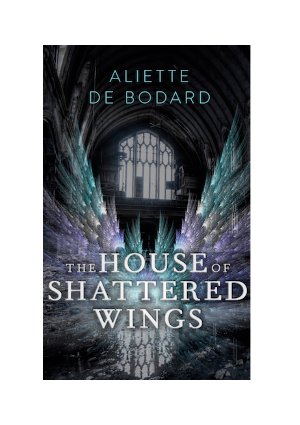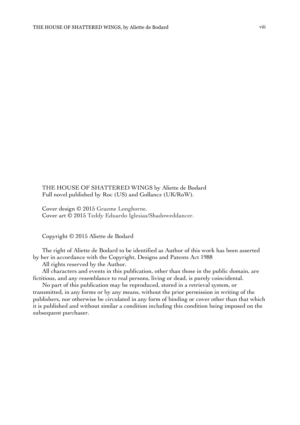#### THE HOUSE OF SHATTERED WINGS by Aliette de Bodard Full novel published by Roc (US) and Gollancz (UK/RoW).

Cover design © 2015 Graeme Longhorne. Cover art © 2015 Teddy Eduardo Iglesias/Shadoweddancer.

Copyright © 2015 Aliette de Bodard

The right of Aliette de Bodard to be identified as Author of this work has been asserted by her in accordance with the Copyright, Designs and Patents Act 1988

All rights reserved by the Author.

All characters and events in this publication, other than those in the public domain, are fictitious, and any resemblance to real persons, living or dead, is purely coincidental.

No part of this publication may be reproduced, stored in a retrieval system, or transmitted, in any forms or by any means, without the prior permission in writing of the publishers, nor otherwise be circulated in any form of binding or cover other than that which it is published and without similar a condition including this condition being imposed on the subsequent purchaser.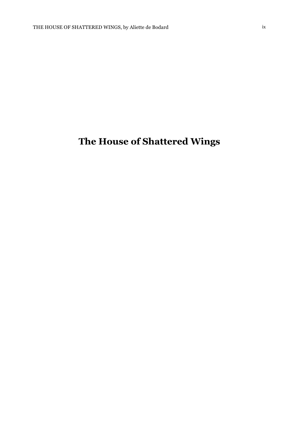# **The House of Shattered Wings**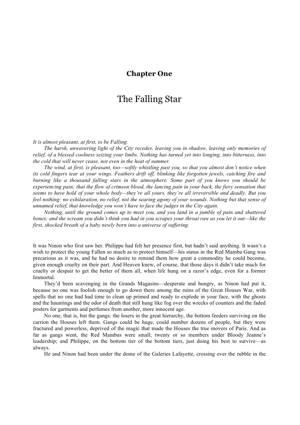#### **Chapter One**

## The Falling Star

*It is almost pleasant, at first, to be Falling.*

*The harsh, unwavering light of the City recedes, leaving you in shadow, leaving only memories of relief, of a blessed coolness seizing your limbs. Nothing has turned yet into longing, into bitterness, into the cold that will never cease, not even in the heat of summer.*

*The wind, at first, is pleasant, too—softly whistling past you, so that you almost don't notice when its cold fingers tear at your wings. Feathers drift off, blinking like forgotten jewels, catching fire and burning like a thousand falling stars in the atmosphere. Some part of you knows you should be experiencing pain; that the flow of crimson blood, the lancing pain in your back, the fiery sensation that seems to have hold of your whole body—they're all yours, they're all irreversible and deadly. But you feel nothing: no exhilaration, no relief, not the searing agony of your wounds. Nothing but that sense of unnamed relief, that knowledge you won't have to face the judges in the City again.*

*Nothing, until the ground comes up to meet you, and you land in a jumble of pain and shattered bones; and the scream you didn't think you had in you scrapes your throat raw as you let it out—like the first, shocked breath of a baby newly born into a universe of suffering.*

It was Ninon who first saw her. Philippe had felt her presence first, but hadn't said anything. It wasn't a wish to protect the young Fallen so much as to protect himself—his status in the Red Mamba Gang was precarious as it was, and he had no desire to remind them how great a commodity he could become, given enough cruelty on their part. And Heaven knew, of course, that those days it didn't take much for cruelty or despair to get the better of them all, when life hung on a razor's edge, even for a former Immortal.

They'd been scavenging in the Grands Magasins—desperate and hungry, as Ninon had put it, because no one was foolish enough to go down there among the ruins of the Great Houses War, with spells that no one had had time to clean up primed and ready to explode in your face, with the ghosts and the hauntings and the odor of death that still hung like fog over the wrecks of counters and the faded posters for garments and perfumes from another, more innocent age.

No one, that is, but the gangs: the losers in the great hierarchy, the bottom feeders surviving on the carrion the Houses left them. Gangs could be huge, could number dozens of people, but they were fractured and powerless, deprived of the magic that made the Houses the true movers of Paris. And as far as gangs went, the Red Mambas were small; twenty or so members under Bloody Jeanne's leadership; and Philippe, on the bottom tier of the bottom tiers, just doing his best to survive—as always.

He and Ninon had been under the dome of the Galeries Lafayette, crossing over the rubble in the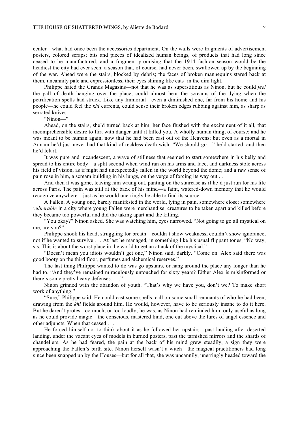center—what had once been the accessories department. On the walls were fragments of advertisement posters, colored scraps; bits and pieces of idealized human beings, of products that had long since ceased to be manufactured; and a fragment promising that the 1914 fashion season would be the headiest the city had ever seen: a season that, of course, had never been, swallowed up by the beginning of the war. Ahead were the stairs, blocked by debris; the faces of broken mannequins stared back at them, uncannily pale and expressionless, their eyes shining like cats' in the dim light.

Philippe hated the Grands Magasins—not that he was as superstitious as Ninon, but he could *feel* the pall of death hanging over the place, could almost hear the screams of the dying when the petrification spells had struck. Like any Immortal—even a diminished one, far from his home and his people—he could feel the *khi* currents, could sense their broken edges rubbing against him, as sharp as serrated knives.

"Ninon—"

Ahead, on the stairs, she'd turned back at him, her face flushed with the excitement of it all, that incomprehensible desire to flirt with danger until it killed you. A wholly human thing, of course; and he was meant to be human again, now that he had been cast out of the Heavens; but even as a mortal in Annam he'd just never had that kind of reckless death wish. "We should go—" he'd started, and then he'd felt it.

It was pure and incandescent, a wave of stillness that seemed to start somewhere in his belly and spread to his entire body—a split second when wind ran on his arms and face, and darkness stole across his field of vision, as if night had unexpectedly fallen in the world beyond the dome; and a raw sense of pain rose in him, a scream building in his lungs, on the verge of forcing its way out . . .

And then it was gone, leaving him wrung out, panting on the staircase as if he'd just run for his life across Paris. The pain was still at the back of his mind—a faint, watered-down memory that he would recognize anywhere—just as he would unerringly be able to find its source.

A Fallen. A young one, barely manifested in the world, lying in pain, somewhere close; somewhere *vulnerable* in a city where young Fallen were merchandise, creatures to be taken apart and killed before they became too powerful and did the taking apart and the killing.

"You okay?" Ninon asked. She was watching him, eyes narrowed. "Not going to go all mystical on me, are you?"

Philippe shook his head, struggling for breath—couldn't show weakness, couldn't show ignorance, not if he wanted to survive . . . At last he managed, in something like his usual flippant tones, "No way, sis. This is about the worst place in the world to get an attack of the mystical."

"Doesn't mean you idiots wouldn't get one," Ninon said, darkly. "Come on. Alex said there was good booty on the third floor, perfumes and alchemical reserves."

The last thing Philippe wanted to do was go upstairs, or hang around the place any longer than he had to. "And they've remained miraculously untouched for sixty years? Either Alex is misinformed or there's some pretty heavy defenses. . . ."

Ninon grinned with the abandon of youth. "That's why we have you, don't we? To make short work of anything."

"Sure," Philippe said. He could cast some spells; call on some small remnants of who he had been, drawing from the *khi* fields around him. He would, however, have to be seriously insane to do it here. But he daren't protest too much, or too loudly; he was, as Ninon had reminded him, only useful as long as he could provide magic—the conscious, mastered kind, one cut above the lures of angel essence and other adjuncts. When that ceased . . .

He forced himself not to think about it as he followed her upstairs—past landing after deserted landing, under the vacant eyes of models in burned posters, past the tarnished mirrors and the shards of chandeliers. As he had feared, the pain at the back of his mind grew steadily, a sign they were approaching the Fallen's birth site. Ninon herself wasn't a witch—the magical practitioners had long since been snapped up by the Houses—but for all that, she was uncannily, unerringly headed toward the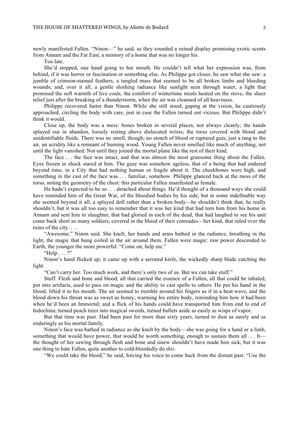newly manifested Fallen. "Ninon—" he said, as they rounded a ruined display promising exotic scents from Annam and the Far East, a memory of a home that was no longer his.

Too late.

She'd stopped, one hand going to her mouth. He couldn't tell what her expression was, from behind, if it was horror or fascination or something else. As Philippe got closer, he saw what she saw: a jumble of crimson-stained feathers, a tangled mass that seemed to be all broken limbs and bleeding wounds; and, over it all, a gentle sloshing radiance like sunlight seen through water, a light that promised the soft warmth of live coals, the comfort of wintertime meals heated on the stove, the sheer relief just after the breaking of a thunderstorm, when the air was cleansed of all heaviness.

Philippe recovered faster than Ninon. While she still stood, gaping at the vision, he cautiously approached, circling the body with care, just in case the Fallen turned out vicious. But Philippe didn't think it would.

Close up, the body was a mess: bones broken in several places, not always cleanly; the hands splayed out in abandon, loosely resting above dislocated wrists; the torso covered with blood and unidentifiable fluids. There was no smell, though; no stench of blood or ruptured guts; just a tang to the air, an acridity like a remnant of burning wood. Young Fallen never smelled like much of anything, not until the light vanished. Not until they joined the mortal plane like the rest of their kind.

The face . . . the face was intact, and that was almost the most gruesome thing about the Fallen. Eyes frozen in shock stared at him. The gaze was somehow ageless, that of a being that had endured beyond time, in a City that had nothing human or fragile about it. The cheekbones were high, and something in the cast of the face was . . . familiar, somehow. Philippe glanced back at the mess of the torso, noting the geometry of the chest: this particular Fallen manifested as female.

He hadn't expected to be so . . . detached about things. He'd thought of a thousand ways she could have reminded him of the Great War, of the bloodied bodies by his side; but in some indefinable way she seemed beyond it all, a splayed doll rather than a broken body—he shouldn't think that, he really shouldn't, but it was all too easy to remember that it was her kind that had torn him from his home in Annam and sent him to slaughter, that had gloried in each of the dead, that had laughed to see his unit come back short so many soldiers, covered in the blood of their comrades—her kind, that ruled over the ruins of the city. . . .

"Awesome," Ninon said. She knelt, her hands and arms bathed in the radiance, breathing in the light, the magic that hung coiled in the air around them. Fallen were magic: raw power descended to Earth, the younger the more powerful. "Come on, help me."

"Help . . . ?"

Ninon's hand flicked up; it came up with a serrated knife, the wickedly sharp blade catching the light.

"Can't carry her. Too much work, and there's only two of us. But we can take stuff."

Stuff. Flesh and bone and blood, all that carried the essence of a Fallen, all that could be inhaled, put into artifacts, used to pass on magic and the ability to cast spells to others. He put his hand in the blood, lifted it to his mouth. The air seemed to tremble around his fingers as if in a heat wave, and the blood down his throat was as sweet as honey, warming his entire body, reminding him how it had been when he'd been an Immortal; and a flick of his hands could have transported him from end to end of Indochina, turned peach trees into magical swords, turned bullets aside as easily as wisps of vapor.

But that time was past. Had been past for more than sixty years, turned to dust as surely and as enduringly as his mortal family.

Ninon's face was bathed in radiance as she knelt by the body—she was going for a hand or a limb, something that would have power, that would be worth something, enough to sustain them all . . . It the thought of her sawing through flesh and bone and sinew shouldn't have made him sick, but it was one thing to hate Fallen, quite another to cold-bloodedly do *this*.

"We could take the blood," he said, forcing his voice to come back from the distant past. "Use the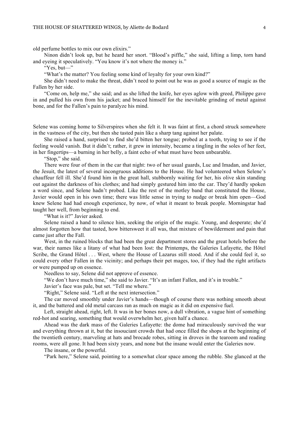old perfume bottles to mix our own elixirs."

Ninon didn't look up, but he heard her snort. "Blood's piffle," she said, lifting a limp, torn hand and eyeing it speculatively. "You know it's not where the money is."

"Yes, but—"

"What's the matter? You feeling some kind of loyalty for your own kind?"

She didn't need to make the threat, didn't need to point out he was as good a source of magic as the Fallen by her side.

"Come on, help me," she said; and as she lifted the knife, her eyes aglow with greed, Philippe gave in and pulled his own from his jacket; and braced himself for the inevitable grinding of metal against bone, and for the Fallen's pain to paralyze his mind.

Selene was coming home to Silverspires when she felt it. It was faint at first, a chord struck somewhere in the vastness of the city, but then she tasted pain like a sharp tang against her palate.

She raised a hand, surprised to find she'd bitten her tongue; probed at a tooth, trying to see if the feeling would vanish. But it didn't; rather, it grew in intensity, became a tingling in the soles of her feet, in her fingertips—a burning in her belly, a faint echo of what must have been unbearable.

"Stop," she said.

There were four of them in the car that night: two of her usual guards, Luc and Imadan, and Javier, the Jesuit, the latest of several incongruous additions to the House. He had volunteered when Selene's chauffeur fell ill. She'd found him in the great hall, stubbornly waiting for her, his olive skin standing out against the darkness of his clothes; and had simply gestured him into the car. They'd hardly spoken a word since, and Selene hadn't probed. Like the rest of the motley band that constituted the House, Javier would open in his own time; there was little sense in trying to nudge or break him open—God knew Selene had had enough experience, by now, of what it meant to break people. Morningstar had taught her well, from beginning to end.

"What is it?" Javier asked.

Selene raised a hand to silence him, seeking the origin of the magic. Young, and desperate; she'd almost forgotten how that tasted, how bittersweet it all was, that mixture of bewilderment and pain that came just after the Fall.

West, in the ruined blocks that had been the great department stores and the great hotels before the war, their names like a litany of what had been lost: the Printemps, the Galeries Lafayette, the Hôtel Scribe, the Grand Hôtel . . . West, where the House of Lazarus still stood. And if she could feel it, so could every other Fallen in the vicinity; and perhaps their pet mages, too, if they had the right artifacts or were pumped up on essence.

Needless to say, Selene did not approve of essence.

"We don't have much time," she said to Javier. "It's an infant Fallen, and it's in trouble."

Javier's face was pale, but set. "Tell me where."

"Right," Selene said. "Left at the next intersection."

The car moved smoothly under Javier's hands—though of course there was nothing smooth about it, and the battered and old metal carcass ran as much on magic as it did on expensive fuel.

Left, straight ahead, right, left. It was in her bones now, a dull vibration, a vague hint of something red-hot and searing, something that would overwhelm her, given half a chance.

Ahead was the dark mass of the Galeries Lafayette: the dome had miraculously survived the war and everything thrown at it, but the insouciant crowds that had once filled the shops at the beginning of the twentieth century, marveling at hats and brocade robes, sitting in droves in the tearoom and reading rooms, were all gone. It had been sixty years, and none but the insane would enter the Galeries now.

The insane, or the powerful.

"Park here," Selene said, pointing to a somewhat clear space among the rubble. She glanced at the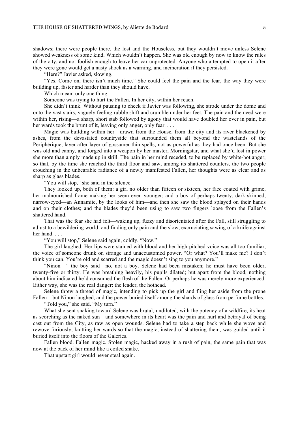shadows; there were people there, the lost and the Houseless, but they wouldn't move unless Selene showed weakness of some kind. Which wouldn't happen. She was old enough by now to know the rules of the city, and not foolish enough to leave her car unprotected. Anyone who attempted to open it after they were gone would get a nasty shock as a warning, and incineration if they persisted.

"Here?" Javier asked, slowing.

"Yes. Come on, there isn't much time." She could feel the pain and the fear, the way they were building up, faster and harder than they should have.

Which meant only one thing.

Someone was trying to hurt the Fallen. In her city, within her reach.

She didn't think. Without pausing to check if Javier was following, she strode under the dome and onto the vast stairs, vaguely feeling rubble shift and crumble under her feet. The pain and the need were within her, rising—a sharp, short stab followed by agony that would have doubled her over in pain, but her wards took the brunt of it, leaving only anger, only fear. . . .

Magic was building within her—drawn from the House, from the city and its river blackened by ashes, from the devastated countryside that surrounded them all beyond the wastelands of the Periphérique, layer after layer of gossamer-thin spells, not as powerful as they had once been. But she was old and canny, and forged into a weapon by her master, Morningstar, and what she'd lost in power she more than amply made up in skill. The pain in her mind receded, to be replaced by white-hot anger; so that, by the time she reached the third floor and saw, among its shattered counters, the two people crouching in the unbearable radiance of a newly manifested Fallen, her thoughts were as clear and as sharp as glass blades.

"You will stop," she said in the silence.

They looked up, both of them: a girl no older than fifteen or sixteen, her face coated with grime, her malnourished frame making her seem even younger; and a boy of perhaps twenty, dark-skinned, narrow-eyed—an Annamite, by the looks of him—and then she saw the blood splayed on their hands and on their clothes; and the blades they'd been using to saw two fingers loose from the Fallen's shattered hand.

That was the fear she had felt—waking up, fuzzy and disorientated after the Fall, still struggling to adjust to a bewildering world; and finding only pain and the slow, excruciating sawing of a knife against her hand. . . .

"You will stop," Selene said again, coldly. "Now."

The girl laughed. Her lips were stained with blood and her high-pitched voice was all too familiar, the voice of someone drunk on strange and unaccustomed power. "Or what? You'll make me? I don't think you can. You're old and scarred and the magic doesn't sing to you anymore."

"Ninon—" the boy said—no, not a boy. Selene had been mistaken; he must have been older, twenty-five or thirty. He was breathing heavily, his pupils dilated; but apart from the blood, nothing about him indicated he'd consumed the flesh of the Fallen. Or perhaps he was merely more experienced. Either way, she was the real danger: the leader, the hothead.

Selene threw a thread of magic, intending to pick up the girl and fling her aside from the prone Fallen—but Ninon laughed, and the power buried itself among the shards of glass from perfume bottles.

"Told you," she said. "My turn."

What she sent snaking toward Selene was brutal, undiluted, with the potency of a wildfire, its heat as scorching as the naked sun—and somewhere in its heart was the pain and hurt and betrayal of being cast out from the City, as raw as open wounds. Selene had to take a step back while she wove and rewove furiously, knitting her wards so that the magic, instead of shattering them, was guided until it buried itself into the floors of the Galeries.

Fallen blood. Fallen magic. Stolen magic, hacked away in a rush of pain, the same pain that was now at the back of her mind like a coiled snake.

That upstart girl would never steal again.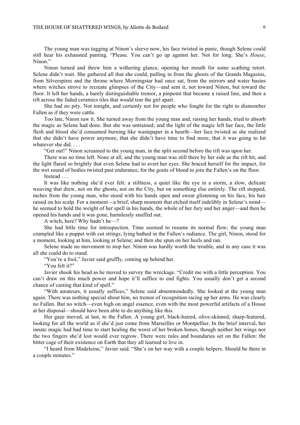The young man was tugging at Ninon's sleeve now, his face twisted in panic, though Selene could still hear his exhausted panting. "Please. You can't go up against her. Not for long. She's *House*, Ninon<sup>"</sup>

Ninon turned and threw him a withering glance, opening her mouth for some scathing retort. Selene didn't wait. She gathered all that she could, pulling in from the ghosts of the Grands Magasins, from Silverspires and the throne where Morningstar had once sat, from the mirrors and water basins where witches strove to recreate glimpses of the City—and sent it, not toward Ninon, but toward the floor. It left her hands, a barely distinguishable tremor, a pinpoint that became a raised line, and then a rift across the faded ceramics tiles that would tear the girl apart.

She had no pity. Not tonight, and certainly not for people who fought for the right to dismember Fallen as if they were cattle.

Too late, Ninon saw it. She turned away from the young man and, raising her hands, tried to absorb the magic as Selene had done. But she was untrained; and the light of the magic left her face, the little flesh and blood she'd consumed burning like wastepaper in a hearth—her face twisted as she realized that she didn't have power anymore, that she didn't have time to find more, that it was going to hit whatever she did. . . .

"Get out!" Ninon screamed to the young man, in the split second before the rift was upon her.

There was no time left. None at all, and the young man was still there by her side as the rift hit, and the light flared so brightly that even Selene had to avert her eyes. She braced herself for the impact, for the wet sound of bodies twisted past endurance, for the gouts of blood to join the Fallen's on the floor.

Instead . . .

It was like nothing she'd ever felt: a stillness, a quiet like the eye in a storm, a slow, delicate weaving that drew, not on the ghosts, not on the City, but on something else entirely. The rift stopped, inches from the young man, who stood with his hands open and sweat glistening on his face, his hair raised on his scalp. For a moment—a brief, sharp moment that etched itself indelibly in Selene's mind he seemed to hold the weight of her spell in his hands, the whole of her fury and her anger—and then he opened his hands and it was gone, harmlessly snuffed out.

A witch, here? Why hadn't he—?

She had little time for introspection. Time seemed to resume its normal flow; the young man crumpled like a puppet with cut strings, lying bathed in the Fallen's radiance. The girl, Ninon, stood for a moment, looking at him, looking at Selene; and then she spun on her heels and ran.

Selene made no movement to stop her. Ninon was hardly worth the trouble, and in any case it was all she could do to stand.

"You're a fool," Javier said gruffly, coming up behind her.

"You felt it?"

Javier shook his head as he moved to survey the wreckage. "Credit me with a little perception. You can't draw on this much power and hope it'll suffice to end fights. You usually don't get a second chance of casting that kind of spell."

"With amateurs, it usually suffices," Selene said absentmindedly. She looked at the young man again. There was nothing special about him, no tremor of recognition racing up her arms. He was clearly no Fallen. But no witch—even high on angel essence, even with the most powerful artifacts of a House at her disposal—should have been able to do anything like this.

Her gaze moved, at last, to the Fallen. A young girl, black-haired, olive-skinned, sharp-featured, looking for all the world as if she'd just come from Marseilles or Montpellier. In the brief interval, her innate magic had had time to start healing the worst of her broken bones, though neither her wings nor the two fingers she'd lost would ever regrow. There were rules and boundaries set on the Fallen: the bitter cage of their existence on Earth that they all learned to live in.

"I heard from Madeleine," Javier said. "She's on her way with a couple helpers. Should be there in a couple minutes."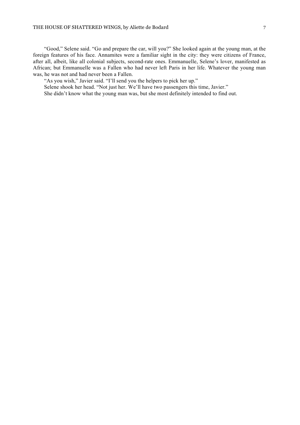"Good," Selene said. "Go and prepare the car, will you?" She looked again at the young man, at the foreign features of his face. Annamites were a familiar sight in the city: they were citizens of France, after all, albeit, like all colonial subjects, second-rate ones. Emmanuelle, Selene's lover, manifested as African; but Emmanuelle was a Fallen who had never left Paris in her life. Whatever the young man was, he was not and had never been a Fallen.

"As you wish," Javier said. "I'll send you the helpers to pick her up."

Selene shook her head. "Not just her. We'll have two passengers this time, Javier."

She didn't know what the young man was, but she most definitely intended to find out.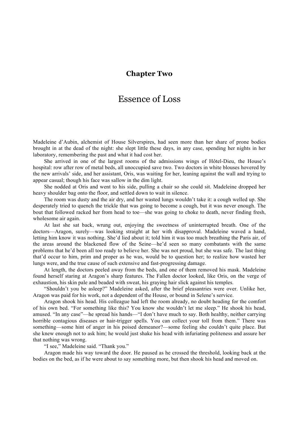#### **Chapter Two**

## Essence of Loss

Madeleine d'Aubin, alchemist of House Silverspires, had seen more than her share of prone bodies brought in at the dead of the night: she slept little these days, in any case, spending her nights in her laboratory, remembering the past and what it had cost her.

She arrived in one of the largest rooms of the admissions wings of Hôtel-Dieu, the House's hospital: row after row of metal beds, all unoccupied save two. Two doctors in white blouses hovered by the new arrivals' side, and her assistant, Oris, was waiting for her, leaning against the wall and trying to appear casual; though his face was sallow in the dim light.

She nodded at Oris and went to his side, pulling a chair so she could sit. Madeleine dropped her heavy shoulder bag onto the floor, and settled down to wait in silence.

The room was dusty and the air dry, and her wasted lungs wouldn't take it: a cough welled up. She desperately tried to quench the trickle that was going to become a cough, but it was never enough. The bout that followed racked her from head to toe—she was going to choke to death, never finding fresh, wholesome air again.

At last she sat back, wrung out, enjoying the sweetness of uninterrupted breath. One of the doctors—Aragon, surely—was looking straight at her with disapproval. Madeleine waved a hand, letting him know it was nothing. She'd lied about it; told him it was too much breathing the Paris air, of the areas around the blackened flow of the Seine—he'd seen so many combatants with the same problems that he'd been all too ready to believe her. She was not proud, but she was safe. The last thing that'd occur to him, prim and proper as he was, would be to question her; to realize how wasted her lungs were, and the true cause of such extensive and fast-progressing damage.

At length, the doctors peeled away from the beds, and one of them removed his mask. Madeleine found herself staring at Aragon's sharp features. The Fallen doctor looked, like Oris, on the verge of exhaustion, his skin pale and beaded with sweat, his graying hair slick against his temples.

"Shouldn't you be asleep?" Madeleine asked, after the brief pleasantries were over. Unlike her, Aragon was paid for his work, not a dependent of the House, or bound in Selene's service.

Aragon shook his head. His colleague had left the room already, no doubt heading for the comfort of his own bed. "For something like this? You know she wouldn't let me sleep." He shook his head, amused. "In any case"—he spread his hands—"I don't have much to say. Both healthy, neither carrying horrible contagious diseases or hair-trigger spells. You can collect your toll from them." There was something—some hint of anger in his poised demeanor?—some feeling she couldn't quite place. But she knew enough not to ask him; he would just shake his head with infuriating politeness and assure her that nothing was wrong.

"I see," Madeleine said. "Thank you."

Aragon made his way toward the door. He paused as he crossed the threshold, looking back at the bodies on the bed, as if he were about to say something more, but then shook his head and moved on.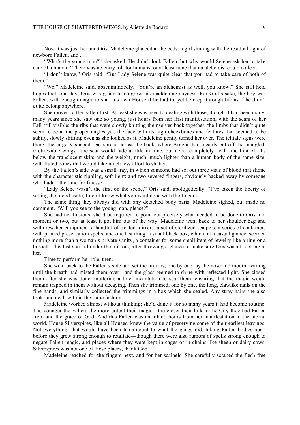Now it was just her and Oris. Madeleine glanced at the beds: a girl shining with the residual light of newborn Fallen, and . . .

"Who's the young man?" she asked. He didn't look Fallen, but why would Selene ask her to take care of a human? There was no entry toll for humans, or at least none that an alchemist could collect.

"I don't know," Oris said. "But Lady Selene was quite clear that you had to take care of both of them."

"We," Madeleine said, absentmindedly. "You're an alchemist as well, you know." She still held hopes that, one day, Oris was going to outgrow his maddening shyness. For God's sake, the boy was Fallen, with enough magic to start his own House if he had to, yet he crept through life as if he didn't quite belong anywhere.

She moved to the Fallen first. At least she was used to dealing with those, though it had been many, many years since she saw one so young, just hours from her first manifestation, with the scars of her Fall still visible: the ribs that were slowly knitting themselves back together, the limbs that didn't quite seem to be at the proper angles yet, the face with its high cheekbones and features that seemed to be subtly, slowly shifting even as she looked as it. Madeleine gently turned her over. The telltale signs were there: the large V-shaped scar spread across the back, where Aragon had cleanly cut off the mangled, irretrievable wings—the scar would fade a little in time, but never completely heal—the hint of ribs below the translucent skin; and the weight, much, much lighter than a human body of the same size, with fluted bones that would take much less effort to shatter.

By the Fallen's side was a small tray, in which someone had set out three vials of blood that shone with the characteristic rippling, soft light; and two severed fingers, obviously hacked away by someone who hadn't the time for finesse.

"Lady Selene wasn't the first on the scene," Oris said, apologetically. "I've taken the liberty of setting the blood aside; I don't know what you want done with the fingers."

The same thing they always did with any detached body parts. Madeleine sighed, but made no comment. "Will you see to the young man, please?"

She had no illusions; she'd be required to point out precisely what needed to be done to Oris in a moment or two, but at least it got him out of the way. Madeleine went back to her shoulder bag and withdrew her equipment: a handful of treated mirrors, a set of sterilized scalpels, a series of containers with primed preservation spells, and one last thing: a small black box, which, at a casual glance, seemed nothing more than a woman's private vanity, a container for some small item of jewelry like a ring or a brooch. This last she hid under the mirrors, after throwing a glance to make sure Oris wasn't looking at her.

Time to perform her role, then.

She went back to the Fallen's side and set the mirrors, one by one, by the nose and mouth, waiting until the breath had misted them over—and the glass seemed to shine with reflected light. She closed them after she was done, muttering a brief incantation to seal them, ensuring that the magic would remain trapped in them without decaying. Then she trimmed, one by one, the long, clawlike nails on the fine hands, and similarly collected the trimmings in a box which she sealed. Any stray hairs she also took, and dealt with in the same fashion.

Madeleine worked almost without thinking; she'd done it for so many years it had become routine. The younger the Fallen, the more potent their magic—the closer their link to the City they had Fallen from and the grace of God. And this Fallen was an infant, hours from her manifestation in the mortal world. House Silverspires, like all Houses, knew the value of preserving some of their earliest leavings. Not everything; that would have been tantamount to what the gangs did, taking Fallen bodies apart before they grew strong enough to retaliate—though there were also rumors of spells strong enough to negate Fallen magic, and places where they were kept in cages or in chains like sheep or dairy cows. Silverspires was not one of those places, thank God.

Madeleine reached for the fingers next, and for her scalpels. She carefully scraped the flesh free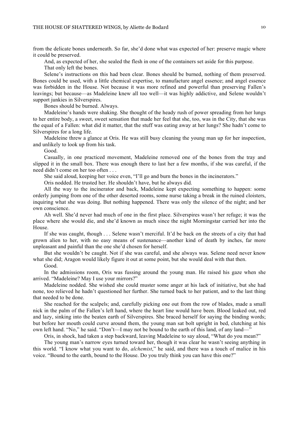from the delicate bones underneath. So far, she'd done what was expected of her: preserve magic where it could be preserved.

And, as expected of her, she sealed the flesh in one of the containers set aside for this purpose. That only left the bones.

Selene's instructions on this had been clear. Bones should be burned, nothing of them preserved. Bones could be used, with a little chemical expertise, to manufacture angel essence; and angel essence was forbidden in the House. Not because it was more refined and powerful than preserving Fallen's leavings; but because—as Madeleine knew all too well—it was highly addictive, and Selene wouldn't support junkies in Silverspires.

Bones should be burned. Always.

Madeleine's hands were shaking. She thought of the heady rush of power spreading from her lungs to her entire body, a sweet, sweet sensation that made her feel that she, too, was in the City, that she was the equal of a Fallen: what did it matter, that the stuff was eating away at her lungs? She hadn't come to Silverspires for a long life.

Madeleine threw a glance at Oris. He was still busy cleaning the young man up for her inspection, and unlikely to look up from his task.

Good.

Casually, in one practiced movement, Madeleine removed one of the bones from the tray and slipped it in the small box. There was enough there to last her a few months, if she was careful, if the need didn't come on her too often . . .

She said aloud, keeping her voice even, "I'll go and burn the bones in the incinerators."

Oris nodded. He trusted her. He shouldn't have, but he always did.

All the way to the incinerator and back, Madeleine kept expecting something to happen: some orderly jumping from one of the other deserted rooms, some nurse taking a break in the ruined cloisters, inquiring what she was doing. But nothing happened. There was only the silence of the night; and her own conscience.

Ah well. She'd never had much of one in the first place. Silverspires wasn't her refuge; it was the place where she would die, and she'd known as much since the night Morningstar carried her into the House.

If she was caught, though . . . Selene wasn't merciful. It'd be back on the streets of a city that had grown alien to her, with no easy means of sustenance—another kind of death by inches, far more unpleasant and painful than the one she'd chosen for herself.

But she wouldn't be caught. Not if she was careful, and she always was. Selene need never know what she did; Aragon would likely figure it out at some point, but she would deal with that then.

Good.

In the admissions room, Oris was fussing around the young man. He raised his gaze when she arrived. "Madeleine? May I use your mirrors?"

Madeleine nodded. She wished she could muster some anger at his lack of initiative, but she had none, too relieved he hadn't questioned her further. She turned back to her patient, and to the last thing that needed to be done.

She reached for the scalpels; and, carefully picking one out from the row of blades, made a small nick in the palm of the Fallen's left hand, where the heart line would have been. Blood leaked out, red and lazy, sinking into the beaten earth of Silverspires. She braced herself for saying the binding words; but before her mouth could curve around them, the young man sat bolt upright in bed, clutching at his own left hand. "No," he said. "Don't—I may not be bound to the earth of this land, of any land—"

Oris, in shock, had taken a step backward, leaving Madeleine to say aloud, "What do you mean?"

The young man's narrow eyes turned toward her, though it was clear he wasn't seeing anything in this world. "I know what you want to do, *alchemist*," he said, and there was a touch of malice in his voice. "Bound to the earth, bound to the House. Do you truly think you can have this one?"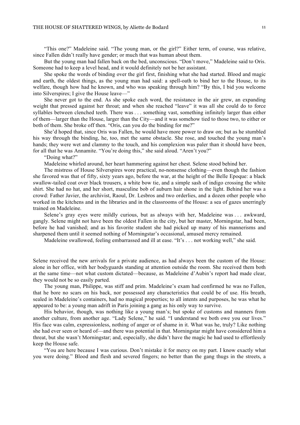"This one?" Madeleine said. "The young man, or the girl?" Either term, of course, was relative, since Fallen didn't really have gender; or much that was human about them.

But the young man had fallen back on the bed, unconscious. "Don't move," Madeleine said to Oris. Someone had to keep a level head, and it would definitely not be her assistant.

She spoke the words of binding over the girl first, finishing what she had started. Blood and magic and earth, the oldest things, as the young man had said: a spell-oath to bind her to the House, to its welfare, though how had he known, and who was speaking through him? "By this, I bid you welcome into Silverspires; I give the House leave—"

She never got to the end. As she spoke each word, the resistance in the air grew, an expanding weight that pressed against her throat; and when she reached "leave" it was all she could do to force syllables between clenched teeth. There was . . . something vast, something infinitely larger than either of them—larger than the House, larger than the City—and it was somehow tied to those two, to either or both of them. She broke off then. "Oris, can you do the binding for me?"

She'd hoped that, since Oris was Fallen, he would have more power to draw on; but as he stumbled his way through the binding, he, too, met the same obstacle. She rose, and touched the young man's hands; they were wet and clammy to the touch, and his complexion was paler than it should have been, for all that he was Annamite. "You're doing this," she said aloud. "Aren't you?"

"Doing what?"

Madeleine whirled around, her heart hammering against her chest. Selene stood behind her.

The mistress of House Silverspires wore practical, no-nonsense clothing—even though the fashion she favored was that of fifty, sixty years ago, before the war, at the height of the Belle Epoque: a black swallow-tailed coat over black trousers, a white bow tie, and a simple sash of indigo crossing the white shirt. She had no hat, and her short, masculine bob of auburn hair shone in the light. Behind her was a crowd: Father Javier, the archivist, Raoul, Dr. Lesbros and two orderlies, and a dozen other people who worked in the kitchens and in the libraries and in the classrooms of the House: a sea of gazes unerringly trained on Madeleine.

Selene's gray eyes were mildly curious, but as always with her, Madeleine was . . . awkward, gangly. Selene might not have been the oldest Fallen in the city, but her master, Morningstar, had been, before he had vanished; and as his favorite student she had picked up many of his mannerisms and sharpened them until it seemed nothing of Morningstar's occasional, amused mercy remained.

Madeleine swallowed, feeling embarrassed and ill at ease. "It's . . . not working well," she said.

Selene received the new arrivals for a private audience, as had always been the custom of the House: alone in her office, with her bodyguards standing at attention outside the room. She received them both at the same time—not what custom dictated—because, as Madeleine d'Aubin's report had made clear, they would not be so easily parted.

The young man, Philippe, was stiff and prim. Madeleine's exam had confirmed he was no Fallen, that he bore no scars on his back, nor possessed any characteristics that could be of use. His breath, sealed in Madeleine's containers, had no magical properties; to all intents and purposes, he was what he appeared to be: a young man adrift in Paris joining a gang as his only way to survive.

His behavior, though, was nothing like a young man's; but spoke of customs and manners from another culture, from another age. "Lady Selene," he said. "I understand we both owe you our lives." His face was calm, expressionless, nothing of anger or of shame in it. What was he, truly? Like nothing she had ever seen or heard of—and there was potential in that. Morningstar might have considered him a threat, but she wasn't Morningstar; and, especially, she didn't have the magic he had used to effortlessly keep the House safe.

"You are here because I was curious. Don't mistake it for mercy on my part. I know exactly what you were doing." Blood and flesh and severed fingers; no better than the gang thugs in the streets, a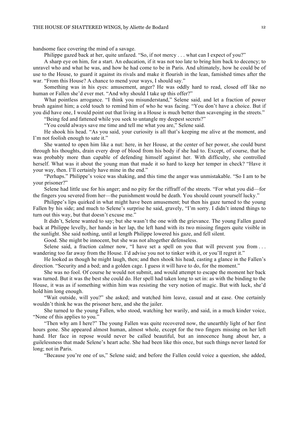handsome face covering the mind of a savage.

Philippe gazed back at her, quite unfazed. "So, if not mercy . . . what can I expect of you?"

A sharp eye on him, for a start. An education, if it was not too late to bring him back to decency; to unravel who and what he was, and how he had come to be in Paris. And ultimately, how he could be of use to the House, to guard it against its rivals and make it flourish in the lean, famished times after the war. "From this House? A chance to mend your ways, I should say."

Something was in his eyes: amusement, anger? He was oddly hard to read, closed off like no human or Fallen she'd ever met. "And why should I take up this offer?"

What pointless arrogance. "I think you misunderstand," Selene said, and let a fraction of power brush against him; a cold touch to remind him of who he was facing. "You don't have a choice. But if you did have one, I would point out that living in a House is much better than scavenging in the streets."

"Being fed and fattened while you seek to untangle my deepest secrets?"

"You could always save me time and tell me what you are," Selene said.

He shook his head. "As you said, your curiosity is all that's keeping me alive at the moment, and I'm not foolish enough to sate it."

She wanted to open him like a nut: here, in her House, at the center of her power, she could burst through his thoughts, drain every drop of blood from his body if she had to. Except, of course, that he was probably more than capable of defending himself against her. With difficulty, she controlled herself. What was it about the young man that made it so hard to keep her temper in check? "Have it your way, then. I'll certainly have mine in the end."

"Perhaps." Philippe's voice was shaking, and this time the anger was unmistakable. "So I am to be your prisoner?"

Selene had little use for his anger; and no pity for the riffraff of the streets. "For what you did—for the fingers you severed from her—the punishment would be death. You should count yourself lucky."

Philippe's lips quirked in what might have been amusement; but then his gaze turned to the young Fallen by his side; and much to Selene's surprise he said, gravely, "I'm sorry. I didn't intend things to turn out this way, but that doesn't excuse me."

It didn't, Selene wanted to say; but she wasn't the one with the grievance. The young Fallen gazed back at Philippe levelly, her hands in her lap, the left hand with its two missing fingers quite visible in the sunlight. She said nothing, until at length Philippe lowered his gaze, and fell silent.

Good. She might be innocent, but she was not altogether defenseless.

Selene said, a fraction calmer now, "I have set a spell on you that will prevent you from ... wandering too far away from the House. I'd advise you not to tinker with it, or you'll regret it."

He looked as though he might laugh, then; and then shook his head, casting a glance in the Fallen's direction. "Security and a bed; and a golden cage. I guess it will have to do, for the moment."

She was no fool. Of course he would not submit, and would attempt to escape the moment her back was turned. But it was the best she could do. Her spell had taken long to set in: as with the binding to the House, it was as if something within him was resisting the very notion of magic. But with luck, she'd hold him long enough.

"Wait outside, will you?" she asked; and watched him leave, casual and at ease. One certainly wouldn't think he was the prisoner here, and she the jailer.

She turned to the young Fallen, who stood, watching her warily, and said, in a much kinder voice, "None of this applies to you."

"Then why am I here?" The young Fallen was quite recovered now, the unearthly light of her first hours gone. She appeared almost human, almost whole, except for the two fingers missing on her left hand. Her face in repose would never be called beautiful, but an innocence hung about her, a guilelessness that made Selene's heart ache. She had been like this once, but such things never lasted for long; not in Paris.

"Because you're one of us," Selene said; and before the Fallen could voice a question, she added,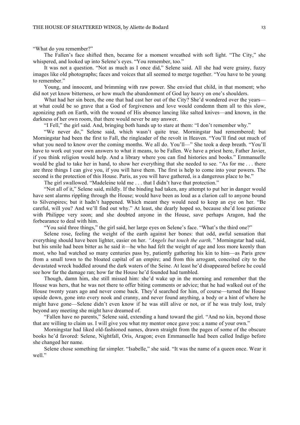"What do you remember?"

The Fallen's face shifted then, became for a moment wreathed with soft light. "The City," she whispered, and looked up into Selene's eyes. "You remember, too."

It was not a question. "Not as much as I once did," Selene said. All she had were grainy, fuzzy images like old photographs; faces and voices that all seemed to merge together. "You have to be young to remember."

Young, and innocent, and brimming with raw power. She envied that child, in that moment; who did not yet know bitterness, or how much the abandonment of God lay heavy on one's shoulders.

What had her sin been, the one that had cast her out of the City? She'd wondered over the years at what could be so grave that a God of forgiveness and love would condemn them all to this slow, agonizing path on Earth, with the wound of His absence lancing like salted knives—and known, in the darkness of her own room, that there would never be any answer.

"I Fell," the girl said. And, bringing both hands up to stare at them: "I don't remember why."

"We never do," Selene said, which wasn't quite true. Morningstar had remembered; but Morningstar had been the first to Fall, the ringleader of the revolt in Heaven. "You'll find out much of what you need to know over the coming months. We all do. You'll—" She took a deep breath. "You'll have to work out your own answers to what it means, to be Fallen. We have a priest here, Father Javier, if you think religion would help. And a library where you can find histories and books." Emmanuelle would be glad to take her in hand, to show her everything that she needed to see. "As for me . . . there are three things I can give you, if you will have them. The first is help to come into your powers. The second is the protection of this House. Paris, as you will have gathered, is a dangerous place to be."

The girl swallowed. "Madeleine told me . . . that I didn't have that protection."

"Not all of it," Selene said, mildly. If the binding had taken, any attempt to put her in danger would have sent alarms rippling through the House; would have been as loud as a clarion call to anyone bound to Silverspires; but it hadn't happened. Which meant they would need to keep an eye on her. "Be careful, will you? And we'll find out why." At least, she dearly hoped so, because she'd lose patience with Philippe very soon; and she doubted anyone in the House, save perhaps Aragon, had the forbearance to deal with him.

"You said three things," the girl said, her large eyes on Selene's face. "What's the third one?"

Selene rose, feeling the weight of the earth against her bones: that odd, awful sensation that everything should have been lighter, easier on her. *"Angels but touch the earth,"* Morningstar had said, but his smile had been bitter as he said it—he who had felt the weight of age and loss more keenly than most, who had watched so many centuries pass by, patiently gathering his kin to him—as Paris grew from a small town to the bloated capital of an empire; and from this arrogant, conceited city to the devastated wreck huddled around the dark waters of the Seine. At least he'd disappeared before he could see how far the damage ran; how far the House he'd founded had tumbled.

Though, damn him, she still missed him: she'd wake up in the morning and remember that the House was hers, that he was not there to offer biting comments or advice; that he had walked out of the House twenty years ago and never come back. They'd searched for him, of course—turned the House upside down, gone into every nook and cranny, and never found anything, a body or a hint of where he might have gone—Selene didn't even know if he was still alive or not, or if he was truly lost, truly beyond any meeting she might have dreamed of.

"Fallen have no parents," Selene said, extending a hand toward the girl. "And no kin, beyond those that are willing to claim us. I will give you what my mentor once gave you: a name of your own."

Morningstar had liked old-fashioned names, drawn straight from the pages of some of the obscure books he'd favored: Selene, Nightfall, Oris, Aragon; even Emmanuelle had been called Indigo before she changed her name.

Selene chose something far simpler. "Isabelle," she said. "It was the name of a queen once. Wear it well."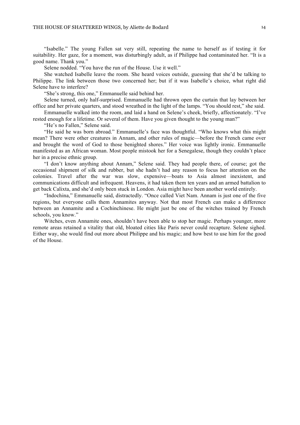"Isabelle." The young Fallen sat very still, repeating the name to herself as if testing it for suitability. Her gaze, for a moment, was disturbingly adult, as if Philippe had contaminated her. "It is a good name. Thank you."

Selene nodded. "You have the run of the House. Use it well."

She watched Isabelle leave the room. She heard voices outside, guessing that she'd be talking to Philippe. The link between those two concerned her; but if it was Isabelle's choice, what right did Selene have to interfere?

"She's strong, this one," Emmanuelle said behind her.

Selene turned, only half-surprised. Emmanuelle had thrown open the curtain that lay between her office and her private quarters, and stood wreathed in the light of the lamps. "You should rest," she said.

Emmanuelle walked into the room, and laid a hand on Selene's cheek, briefly, affectionately. "I've rested enough for a lifetime. Or several of them. Have you given thought to the young man?"

"He's no Fallen," Selene said.

"He said he was born abroad." Emmanuelle's face was thoughtful. "Who knows what this might mean? There were other creatures in Annam, and other rules of magic—before the French came over and brought the word of God to those benighted shores." Her voice was lightly ironic. Emmanuelle manifested as an African woman. Most people mistook her for a Senegalese, though they couldn't place her in a precise ethnic group.

"I don't know anything about Annam," Selene said. They had people there, of course; got the occasional shipment of silk and rubber, but she hadn't had any reason to focus her attention on the colonies. Travel after the war was slow, expensive—boats to Asia almost inexistent, and communications difficult and infrequent. Heavens, it had taken them ten years and an armed battalion to get back Calixta, and she'd only been stuck in London. Asia might have been another world entirely.

"Indochina," Emmanuelle said, distractedly. "Once called Viet Nam. Annam is just one of the five regions, but everyone calls them Annamites anyway. Not that most French can make a difference between an Annamite and a Cochinchinese. He might just be one of the witches trained by French schools, you know."

Witches, even Annamite ones, shouldn't have been able to stop her magic. Perhaps younger, more remote areas retained a vitality that old, bloated cities like Paris never could recapture. Selene sighed. Either way, she would find out more about Philippe and his magic; and how best to use him for the good of the House.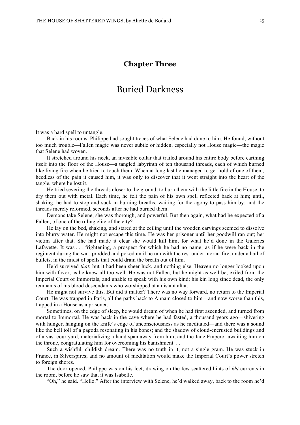### **Chapter Three**

### Buried Darkness

It was a hard spell to untangle.

Back in his rooms, Philippe had sought traces of what Selene had done to him. He found, without too much trouble—Fallen magic was never subtle or hidden, especially not House magic—the magic that Selene had woven.

It stretched around his neck, an invisible collar that trailed around his entire body before earthing itself into the floor of the House—a tangled labyrinth of ten thousand threads, each of which burned like living fire when he tried to touch them. When at long last he managed to get hold of one of them, heedless of the pain it caused him, it was only to discover that it went straight into the heart of the tangle, where he lost it.

He tried severing the threads closer to the ground, to burn them with the little fire in the House, to dry them out with metal. Each time, he felt the pain of his own spell reflected back at him; until, shaking, he had to stop and suck in burning breaths, waiting for the agony to pass him by; and the threads merely reformed, seconds after he had burned them.

Demons take Selene, she was thorough, and powerful. But then again, what had he expected of a Fallen; of one of the ruling elite of the city?

He lay on the bed, shaking, and stared at the ceiling until the wooden carvings seemed to dissolve into blurry water. He might not escape this time. He was her prisoner until her goodwill ran out; her victim after that. She had made it clear she would kill him, for what he'd done in the Galeries Lafayette. It was ... frightening, a prospect for which he had no name; as if he were back in the regiment during the war, prodded and poked until he ran with the rest under mortar fire, under a hail of bullets, in the midst of spells that could drain the breath out of him.

He'd survived *that*; but it had been sheer luck, and nothing else. Heaven no longer looked upon him with favor, as he knew all too well. He was not Fallen, but he might as well be; exiled from the Imperial Court of Immortals, and unable to speak with his own kind; his kin long since dead, the only remnants of his blood descendants who worshipped at a distant altar.

He might not survive this. But did it matter? There was no way forward, no return to the Imperial Court. He was trapped in Paris, all the paths back to Annam closed to him—and now worse than this, trapped in a House as a prisoner.

Sometimes, on the edge of sleep, he would dream of when he had first ascended, and turned from mortal to Immortal. He was back in the cave where he had fasted, a thousand years ago—shivering with hunger, hanging on the knife's edge of unconsciousness as he meditated—and there was a sound like the bell toll of a pagoda resonating in his bones; and the shadow of cloud-encrusted buildings and of a vast courtyard, materializing a hand span away from him; and the Jade Emperor awaiting him on the throne, congratulating him for overcoming his banishment. . .

Such a wishful, childish dream. There was no truth in it, not a single gram. He was stuck in France, in Silverspires; and no amount of meditation would make the Imperial Court's power stretch to foreign shores.

The door opened. Philippe was on his feet, drawing on the few scattered hints of *khi* currents in the room, before he saw that it was Isabelle.

"Oh," he said. "Hello." After the interview with Selene, he'd walked away, back to the room he'd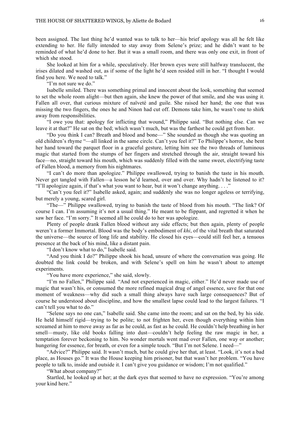been assigned. The last thing he'd wanted was to talk to her—his brief apology was all he felt like extending to her. He fully intended to stay away from Selene's prize; and he didn't want to be reminded of what he'd done to her. But it was a small room, and there was only one exit, in front of which she stood.

She looked at him for a while, speculatively. Her brown eyes were still halfway translucent, the irises dilated and washed out, as if some of the light he'd seen resided still in her. "I thought I would find you here. We need to talk."

"I'm not sure we do."

Isabelle smiled. There was something primal and innocent about the look, something that seemed to set the whole room alight—but then again, she knew the power of that smile, and she was using it. Fallen all over, that curious mixture of naïveté and guile. She raised her hand; the one that was missing the two fingers, the ones he and Ninon had cut off. Demons take him, he wasn't one to shirk away from responsibilities.

"I owe you that: apology for inflicting that wound," Philippe said. "But nothing else. Can we leave it at that?" He sat on the bed; which wasn't much, but was the farthest he could get from her.

"Do you think I can? Breath and blood and bone—" She sounded as though she was quoting an old children's rhyme "—all linked in the same circle. Can't you feel it?" To Philippe's horror, she bent her hand toward the parquet floor in a graceful gesture, letting him see the two threads of luminous magic that started from the stumps of her fingers and stretched through the air, straight toward his face—no, straight toward his mouth, which was suddenly filled with the same sweet, electrifying taste of Fallen blood, a memory from his nightmares.

"I can't do more than apologize." Philippe swallowed, trying to banish the taste in his mouth. Never get tangled with Fallen—a lesson he'd learned, over and over. Why hadn't he listened to it? "I'll apologize again, if that's what you want to hear, but it won't change anything. . . ."

"Can't you feel it?" Isabelle asked, again; and suddenly she was no longer ageless or terrifying, but merely a young, scared girl.

"The—" Philippe swallowed, trying to banish the taste of blood from his mouth. "The link? Of course I can. I'm assuming it's not a usual thing." He meant to be flippant, and regretted it when he saw her face. "I'm sorry." It seemed all he could do to her was apologize.

Plenty of people drank Fallen blood without any side effects; but then again, plenty of people weren't a former Immortal. Blood was the body's embodiment of *khi*, of the vital breath that saturated the universe—the source of long life and stability. He closed his eyes—could still feel her, a tenuous presence at the back of his mind, like a distant pain.

"I don't know what to do," Isabelle said.

"And you think I do?" Philippe shook his head, unsure of where the conversation was going. He doubted the link could be broken, and with Selene's spell on him he wasn't about to attempt experiments.

"You have more experience," she said, slowly.

"I'm no Fallen," Philippe said. "And not experienced in magic, either." He'd never made use of magic that wasn't his, or consumed the more refined magical drug of angel essence, save for that one moment of weakness—why did such a small thing always have such large consequences? But of course he understood about discipline, and how the smallest lapse could lead to the largest failures. "I can't tell you what to do."

"Selene says no one can," Isabelle said. She came into the room; and sat on the bed, by his side. He held himself rigid—trying to be polite; to not frighten her, even though everything within him screamed at him to move away as far as he could, as fast as he could. He couldn't help breathing in her smell—musty, like old books falling into dust—couldn't help feeling the raw magic in her, a temptation forever beckoning to him. No wonder mortals went mad over Fallen, one way or another; hungering for essence, for breath, or even for a simple touch. "But I'm not Selene. I need—"

"Advice?" Philippe said. It wasn't much, but he could give her that, at least. "Look, it's not a bad place, as Houses go." It was the House keeping him prisoner, but that wasn't her problem. "You have people to talk to, inside and outside it. I can't give you guidance or wisdom; I'm not qualified."

"What about company?"

Startled, he looked up at her; at the dark eyes that seemed to have no expression. "You're among your kind here."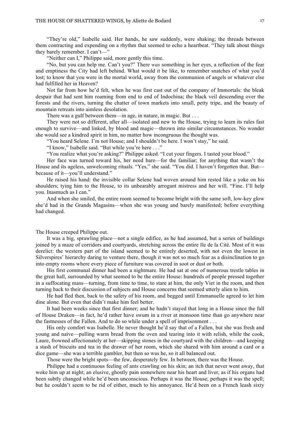"They're old," Isabelle said. Her hands, he saw suddenly, were shaking; the threads between them contracting and expending on a rhythm that seemed to echo a heartbeat. "They talk about things they barely remember. I can't—"

"Neither can I," Philippe said, more gently this time.

"No, but you can help me. Can't you?" There *was* something in her eyes, a reflection of the fear and emptiness the City had left behind. What would it be like, to remember snatches of what you'd lost; to know that you were in the mortal world, away from the communion of angels or whatever else had fulfilled her in Heaven?

Not far from how he'd felt, when he was first cast out of the company of Immortals: the bleak despair that had sent him roaming from end to end of Indochina; the black veil descending over the forests and the rivers, turning the chatter of town markets into small, petty tripe, and the beauty of mountain retreats into aimless desolation.

There was a gulf between them—in age, in nature, in magic. But . . .

They were not so different, after all—isolated and new to the House, trying to learn its rules fast enough to survive—and linked, by blood and magic—thrown into similar circumstances. No wonder she would see a kindred spirit in him, no matter how incongruous the thought was.

"You heard Selene. I'm not House; and I shouldn't be here. I won't stay," he said.

"I know," Isabelle said. "But while you're here . . ."

"You realize what you're asking?" Philippe asked. "I cut your fingers. I tasted your blood."

Her face was turned toward his, her need bare—for the familiar; for anything that wasn't the House and its ageless, unwelcoming rituals. "Yes," she said. "You did. I haven't forgotten that. But because of it—you'll understand."

He raised his hand: the invisible collar Selene had woven around him rested like a yoke on his shoulders; tying him to the House, to its unbearably arrogant mistress and her will. "Fine. I'll help you. Inasmuch as I can."

And when she smiled, the entire room seemed to become bright with the same soft, low-key glow she'd had in the Grands Magasins—when she was young and barely manifested; before everything had changed.

The House creeped Philippe out.

It was a big, sprawling place—not a single edifice, as he had assumed, but a series of buildings joined by a maze of corridors and courtyards, stretching across the entire Ile de la Cité. Most of it was derelict: the western part of the island seemed to be entirely deserted, with not even the lowest in Silverspires' hierarchy daring to venture there, though it was not so much fear as a disinclination to go into empty rooms where every piece of furniture was covered in soot or dust or both.

His first communal dinner had been a nightmare. He had sat at one of numerous trestle tables in the great hall, surrounded by what seemed to be the entire House: hundreds of people pressed together in a suffocating mass—turning, from time to time, to stare at him, the only Viet in the room, and then turning back to their discussion of subjects and House concerns that seemed utterly alien to him.

He had fled then, back to the safety of his room, and begged until Emmanuelle agreed to let him dine alone. But even that didn't make him feel better.

It had been weeks since that first dinner; and he hadn't stayed that long in a House since the fall of House Draken—in fact, he'd rather have swum in a river at monsoon time than go anywhere near the fastnesses of the Fallen. And to do so while under a spell of imprisonment . . .

His only comfort was Isabelle. He never thought he'd say that of a Fallen, but she was fresh and young and naive—pulling warm bread from the oven and tearing into it with relish, while the cook, Laure, frowned affectionately at her—skipping stones in the courtyard with the children—and keeping a stash of biscuits and tea in the drawer of her room, which she shared with him around a card or a dice game—she was a terrible gambler, but then so was he, so it all balanced out.

Those were the bright spots—the few, desperately few. In between, there was the House.

Philippe had a continuous feeling of ants crawling on his skin; an itch that never went away, that woke him up at night; an elusive, ghostly pain somewhere near his heart and liver, as if his organs had been subtly changed while he'd been unconscious. Perhaps it was the House; perhaps it was the spell; but he couldn't seem to be rid of either, much to his annoyance. He'd been on a French leash sixty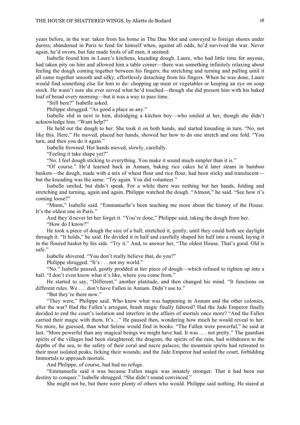years before, in the war: taken from his home in Thu Dau Mot and conveyed to foreign shores under duress; abandoned in Paris to fend for himself when, against all odds, he'd survived the war. Never again, he'd sworn, but fate made fools of all men, it seemed.

Isabelle found him in Laure's kitchens, kneading dough. Laure, who had little time for anyone, had taken pity on him and allowed him a table corner—there was something infinitely relaxing about feeling the dough coming together between his fingers; the stretching and turning and pulling until it all came together smooth and silky, effortlessly detaching from his fingers. When he was done, Laure would find something else for him to do: chopping up meat or vegetables or keeping an eye on soup stock. He wasn't sure she ever served what he'd touched—though she did present him with his baked loaf of bread every morning—but it was a way to pass time.

"Still here?" Isabelle asked.

Philippe shrugged. "As good a place as any."

Isabelle slid in next to him, dislodging a kitchen boy—who smiled at her, though she didn't acknowledge him. "Want help?"

He held out the dough to her. She took it on both hands, and started kneading in turn. "No, not like this. Here." He moved, placed her hands, showed her how to do one stretch and one fold. "You turn, and then you do it again."

Isabelle frowned. Her hands moved, slowly, carefully.

"Feeling it take shape yet?"

"No. I feel dough sticking to everything. You make it sound much simpler than it is."

"Of course." He'd learned back in Annam, baking rice cakes he'd later steam in bamboo baskets—the dough, made with a mix of wheat flour and rice flour, had been sticky and translucent but the kneading was the same. "Try again. You did volunteer."

Isabelle smiled, but didn't speak. For a while there was nothing but her hands, folding and stretching and turning, again and again. Philippe watched the dough. "Almost," he said. "See how it's coming loose?"

"Mmm," Isabelle said. "Emmanuelle's been teaching me more about the history of the House. It's the oldest one in Paris."

And they'd never let her forget it. "You're done," Philippe said, taking the dough from her.

"How do I know?"

He took a piece of dough the size of a ball; stretched it, gently, until they could both see daylight through it. "It holds," he said. He divided it in half and carefully shaped his half into a round, laying it in the floured basket by his side. "Try it." And, to answer her, "The oldest House. That's good. Old is safe."

Isabelle shivered. "You don't really believe that, do you?"

Philippe shrugged. "It's . . . not my world."

"No." Isabelle paused, gently prodded at her piece of dough—which refused to tighten up into a ball. "I don't even know what it's like, where you come from."

He started to say, "Different," another platitude, and then changed his mind. "It functions on different rules. We . . . don't have Fallen in Annam. Didn't use to."

"But they're there now."

"They were," Philippe said. Who knew what was happening in Annam and the other colonies, after the war? Had the Fallen's arrogant, brash magic finally faltered? Had the Jade Emperor finally decided to end the court's isolation and interfere in the affairs of mortals once more? "And the Fallen carried their magic with them. It's…" He paused then, wondering how much he would reveal to her. No more, he guessed, than what Selene would find in books. "The Fallen were powerful," he said at last. "More powerful than any magical beings we might have had. It was . . . not pretty." The guardian spirits of the villages had been slaughtered; the dragons, the spirits of the rain, had withdrawn to the depths of the sea, to the safety of their coral and nacre palaces; the mountain spirits had retreated to their most isolated peaks, licking their wounds; and the Jade Emperor had sealed the court, forbidding Immortals to approach mortals.

And Philippe, of course, had had no refuge.

"Emmanuelle said it was because Fallen magic was innately stronger. That it had been our destiny to conquer." Isabelle shrugged. "She didn't sound convinced."

She might not be, but there were plenty of others who would. Philippe said nothing. He stared at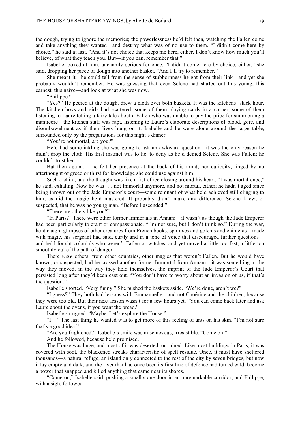the dough, trying to ignore the memories; the powerlessness he'd felt then, watching the Fallen come and take anything they wanted—and destroy what was of no use to them. "I didn't come here by choice," he said at last. "And it's not choice that keeps me here, either. I don't know how much you'll believe, of what they teach you. But—if you can, remember that."

Isabelle looked at him, uncannily serious for once. "I didn't come here by choice, either," she said, dropping her piece of dough into another basket. "And I'll try to remember."

She meant it—he could tell from the sense of stubbornness he got from their link—and yet she probably wouldn't remember. He was guessing that even Selene had started out this young, this earnest, this naive—and look at what she was now.

"Philippe?"

"Yes?" He peered at the dough, drew a cloth over both baskets. It was the kitchens' slack hour. The kitchen boys and girls had scattered, some of them playing cards in a corner, some of them listening to Laure telling a fairy tale about a Fallen who was unable to pay the price for summoning a manticore—the kitchen staff was rapt, listening to Laure's elaborate descriptions of blood, gore, and disembowelment as if their lives hung on it. Isabelle and he were alone around the large table, surrounded only by the preparations for this night's dinner.

"You're not mortal, are you?"

He'd had some inkling she was going to ask an awkward question—it was the only reason he didn't drop the cloth. His first instinct was to lie, to deny as he'd denied Selene. She was Fallen; he couldn't trust her.

But then again . . . he felt her presence at the back of his mind; her curiosity, tinged by no afterthought of greed or thirst for knowledge she could use against him.

Such a child, and the thought was like a fist of ice closing around his heart. "I was mortal once," he said, exhaling. Now he was . . . not Immortal anymore, and not mortal, either; he hadn't aged since being thrown out of the Jade Emperor's court—some remnant of what he'd achieved still clinging to him, as did the magic he'd mastered. It probably didn't make any difference. Selene knew, or suspected, that he was no young man. "Before I ascended."

"There are others like you?"

"In Paris?" There were other former Immortals in Annam—it wasn't as though the Jade Emperor had been particularly tolerant or compassionate. "I'm not sure, but I don't think so." During the war, he'd caught glimpses of other creatures from French books, sphinxes and golems and chimeras—made with magic, his sergeant had said, curtly and in a tone of voice that discouraged further questionsand he'd fought colonials who weren't Fallen or witches, and yet moved a little too fast, a little too smoothly out of the path of danger.

There *were* others; from other countries, other magics that weren't Fallen. But he would have known, or suspected, had he crossed another former Immortal from Annam—it was something in the way they moved, in the way they held themselves, the imprint of the Jade Emperor's Court that persisted long after they'd been cast out. "You don't have to worry about an invasion of us, if that's the question."

Isabelle snorted. "Very funny." She pushed the baskets aside. "We're done, aren't we?"

"I guess?" They both had lessons with Emmanuelle—and not Choérine and the children, because they were too old. But their next lesson wasn't for a few hours yet. "You can come back later and ask Laure about the ovens, if you want the bread."

Isabelle shrugged. "Maybe. Let's explore the House."

"I—" The last thing he wanted was to get more of this feeling of ants on his skin. "I'm not sure that's a good idea."

"Are you frightened?" Isabelle's smile was mischievous, irresistible. "Come on."

And he followed, because he'd promised.

The House was huge, and most of it was deserted, or ruined. Like most buildings in Paris, it was covered with soot, the blackened streaks characteristic of spell residue. Once, it must have sheltered thousands—a natural refuge, an island only connected to the rest of the city by seven bridges, but now it lay empty and dark, and the river that had once been its first line of defence had turned wild, become a power that snapped and killed anything that came near its shores.

"Come on," Isabelle said, pushing a small stone door in an unremarkable corridor; and Philippe, with a sigh, followed.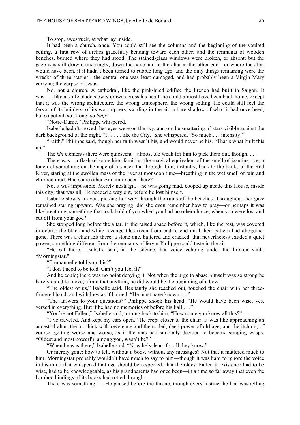To stop, awestruck, at what lay inside.

It had been a church, once. You could still see the columns and the beginning of the vaulted ceiling, a first row of arches gracefully bending toward each other; and the remnants of wooden benches, burned where they had stood. The stained-glass windows were broken, or absent; but the gaze was still drawn, unerringly, down the nave and to the altar at the other end—or where the altar would have been, if it hadn't been turned to rubble long ago, and the only things remaining were the wrecks of three statues—the central one was least damaged, and had probably been a Virgin Mary carrying the corpse of Jesus.

No, not a church. A cathedral, like the pink-hued edifice the French had built in Saigon. It was . . . like a knife blade slowly drawn across his heart: he could almost have been back home, except that it was the wrong architecture, the wrong atmosphere, the wrong setting. He could still feel the fervor of its builders, of its worshippers, swirling in the air: a bare shadow of what it had once been, but so potent, so strong, so *huge*.

"Notre-Dame," Philippe whispered.

Isabelle hadn't moved; her eyes were on the sky, and on the smattering of stars visible against the dark background of the night. "It's . . . like the City," she whispered. "So much . . . intensity."

"Faith," Philippe said, though her faith wasn't his, and would never be his. "That's what built this up."

The *khi* elements there were quiescent—almost too weak for him to pick them out, though. . . .

There was—a flash of something familiar: the magical equivalent of the smell of jasmine rice, a touch of something on the nape of his neck that brought him, instantly, back to the banks of the Red River, staring at the swollen mass of the river at monsoon time—breathing in the wet smell of rain and churned mud. Had some other Annamite been there?

No, it was impossible. Merely nostalgia—he was going mad, cooped up inside this House, inside this city, that was all. He needed a way out, before he lost himself.

Isabelle slowly moved, picking her way through the ruins of the benches. Throughout, her gaze remained staring upward. Was she praying; did she even remember how to pray—or perhaps it was like breathing, something that took hold of you when you had no other choice, when you were lost and cut off from your god?

She stopped long before the altar, in the raised space before it, which, like the rest, was covered in debris: the black-and-white lozenge tiles riven from end to end until their pattern had altogether gone. There was a chair left there; a stone one, battered and cracked, that nevertheless exuded a quiet power, something different from the remnants of fervor Philippe could taste in the air.

"He sat there," Isabelle said, in the silence, her voice echoing under the broken vault. "Morningstar."

"Emmanuelle told you this?"

"I don't need to be told. Can't you feel it?"

And he could; there was no point denying it. Not when the urge to abase himself was so strong he barely dared to move; afraid that anything he did would be the beginning of a bow.

"The oldest of us," Isabelle said. Hesitantly she reached out, touched the chair with her threefingered hand; and withdrew as if burned. "He must have known . . ."

"The answers to your questions?" Philippe shook his head. "He would have been wise, yes, versed in everything. But if he had no memories of before his Fall . . ."

"You're not Fallen," Isabelle said, turning back to him. "How come you know all this?"

"I've traveled. And kept my ears open." He crept closer to the chair. It was like approaching an ancestral altar, the air thick with reverence and the coiled, deep power of old age; and the itching, of course, getting worse and worse, as if the ants had suddenly decided to become stinging wasps. "Oldest and most powerful among you, wasn't he?"

"When he was there," Isabelle said. "Now he's dead, for all they know."

Or merely gone; how to tell, without a body, without any messages? Not that it mattered much to him. Morningstar probably wouldn't have much to say to him—though it was hard to ignore the voice in his mind that whispered that age should be respected, that the oldest Fallen in existence had to be wise, had to be knowledgeable, as his grandparents had once been—in a time so far away that even the bamboo bindings of its books had rotted through.

There was something . . . He paused before the throne, though every instinct he had was telling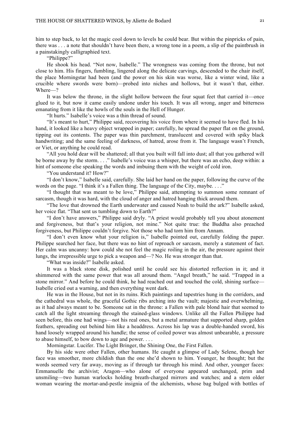him to step back, to let the magic cool down to levels he could bear. But within the pinpricks of pain, there was . . . a note that shouldn't have been there, a wrong tone in a poem, a slip of the paintbrush in a painstakingly calligraphied text.

"Philippe?"

He shook his head. "Not now, Isabelle." The wrongness was coming from the throne, but not close to him. His fingers, fumbling, lingered along the delicate carvings, descended to the chair itself, the place Morningstar had been (and the power on his skin was worse, like a winter wind, like a crucible where swords were born)—probed into niches and hollows, but it wasn't that, either. Where—?

It was below the throne, in the slight hollow between the four squat feet that carried it—once glued to it, but now it came easily undone under his touch. It was all wrong, anger and bitterness emanating from it like the howls of the souls in the Hell of Hunger.

"It hurts." Isabelle's voice was a thin thread of sound.

"It's meant to hurt," Philippe said, recovering his voice from where it seemed to have fled. In his hand, it looked like a heavy object wrapped in paper; carefully, he spread the paper flat on the ground, tipping out its contents. The paper was thin parchment, translucent and covered with spiky black handwriting; and the same feeling of darkness, of hatred, arose from it. The language wasn't French, or Viet, or anything he could read.

"All you hold dear will be shattered; all that you built will fall into dust; all that you gathered will be borne away by the storm. . . ." Isabelle's voice was a whisper, but there was an echo, deep within: a hint of someone else speaking the words and imbuing them with the weight of cold iron.

"You understand it? How?"

"I don't know," Isabelle said, carefully. She laid her hand on the paper, following the curve of the words on the page. "I think it's a Fallen thing. The language of the City, maybe...."

"I thought that was meant to be love," Philippe said, attempting to summon some remnant of sarcasm, though it was hard, with the cloud of anger and hatred hanging thick around them.

"The love that drowned the Earth underwater and caused Noah to build the ark?" Isabelle asked, her voice flat. "That sent us tumbling down to Earth?"

"I don't have answers," Philippe said dryly. "A priest would probably tell you about atonement and forgiveness, but that's your religion, not mine." Not quite true: the Buddha also preached forgiveness, but Philippe couldn't forgive. Not those who had torn him from Annam.

"I don't even know what your religion is," Isabelle pointed out, carefully folding the paper. Philippe searched her face, but there was no hint of reproach or sarcasm, merely a statement of fact. Her calm was uncanny: how could she not feel the magic roiling in the air, the pressure against their lungs, the irrepressible urge to pick a weapon and—? No. He was stronger than that.

"What was inside?" Isabelle asked.

It was a black stone disk, polished until he could see his distorted reflection in it; and it shimmered with the same power that was all around them. "Angel breath," he said. "Trapped in a stone mirror." And before he could think, he had reached out and touched the cold, shining surface— Isabelle cried out a warning, and then everything went dark.

He was in the House, but not in its ruins. Rich paintings and tapestries hung in the corridors, and the cathedral was whole, the graceful Gothic ribs arching into the vault; majestic and overwhelming, as it had always meant to be. Someone sat in the throne: a Fallen with pale blond hair that seemed to catch all the light streaming through the stained-glass windows. Unlike all the Fallen Philippe had seen before, this one had wings—not his real ones, but a metal armature that supported sharp, golden feathers, spreading out behind him like a headdress. Across his lap was a double-handed sword, his hand loosely wrapped around his handle; the sense of coiled power was almost unbearable, a pressure to abase himself, to bow down to age and power. . . .

Morningstar. Lucifer. The Light Bringer, the Shining One, the First Fallen.

By his side were other Fallen, other humans. He caught a glimpse of Lady Selene, though her face was smoother, more childish than the one she'd shown to him. Younger, he thought; but the words seemed very far away, moving as if through tar through his mind. And other, younger faces: Emmanuelle the archivist; Aragon—who alone of everyone appeared unchanged, prim and unsmiling—two human warlocks holding breath-charged mirrors and watches; and a stern older woman wearing the mortar-and-pestle insignia of the alchemists, whose bag bulged with bottles of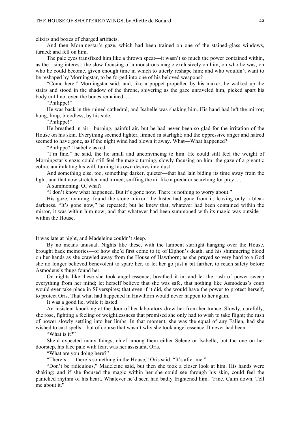elixirs and boxes of charged artifacts.

And then Morningstar's gaze, which had been trained on one of the stained-glass windows, turned; and fell on him.

The pale eyes transfixed him like a thrown spear—it wasn't so much the power contained within, as the rising interest; the slow focusing of a monstrous magic exclusively on him; on who he was; on who he could become, given enough time in which to utterly reshape him; and who wouldn't want to be reshaped by Morningstar, to be forged into one of his beloved weapons?

"Come here," Morningstar said; and, like a puppet propelled by his maker, he walked up the stairs and stood in the shadow of the throne, shivering as the gaze unraveled him, picked apart his body until not even the bones remained. . . .

"Philippe!"

He was back in the ruined cathedral, and Isabelle was shaking him. His hand had left the mirror; hung, limp, bloodless, by his side.

"Philippe!"

He breathed in air—burning, painful air, but he had never been so glad for the irritation of the House on his skin. Everything seemed lighter, limned in starlight; and the oppressive anger and hatred seemed to have gone, as if the night wind had blown it away. What—What happened?

"Philippe?" Isabelle asked.

"I'm fine," he said, the lie small and unconvincing to him. He could still feel the weight of Morningstar's gaze; could still feel the magic turning, slowly focusing on him: the gaze of a gigantic cobra, annihilating his will, turning his own desires into dust.

And something else, too, something darker, quieter—that had lain biding its time away from the light, and that now stretched and turned, sniffing the air like a predator searching for prey....

A summoning. Of what?

"I don't know what happened. But it's gone now. There is nothing to worry about."

His gaze, roaming, found the stone mirror: the luster had gone from it, leaving only a bleak darkness. "It's gone now," he repeated; but he knew that, whatever had been contained within the mirror, it was within him now; and that whatever had been summoned with its magic was outside within the House.

It was late at night, and Madeleine couldn't sleep.

By no means unusual. Nights like these, with the lambent starlight hanging over the House, brought back memories—of how she'd first come to it; of Elphon's death, and his shimmering blood on her hands as she crawled away from the House of Hawthorn; as she prayed so very hard to a God she no longer believed benevolent to spare her, to let her go just a bit farther, to reach safety before Asmodeus's thugs found her.

On nights like these she took angel essence; breathed it in, and let the rush of power sweep everything from her mind; let herself believe that she was safe, that nothing like Asmodeus's coup would ever take place in Silverspires; that even if it did, she would have the power to protect herself, to protect Oris. That what had happened in Hawthorn would never happen to her again.

It was a good lie, while it lasted.

An insistent knocking at the door of her laboratory drew her from her trance. Slowly, carefully, she rose, fighting a feeling of weightlessness that promised she only had to wish to take flight; the rush of power slowly settling into her limbs. In that moment, she was the equal of any Fallen, had she wished to cast spells—but of course that wasn't why she took angel essence. It never had been.

"What is it?"

She'd expected many things, chief among them either Selene or Isabelle; but the one on her doorstep, his face pale with fear, was her assistant, Oris.

"What are you doing here?"

"There's . . . there's something in the House," Oris said. "It's after me."

"Don't be ridiculous," Madeleine said, but then she took a closer look at him. His hands were shaking; and if she focused the magic within her she could see through his skin, could feel the panicked rhythm of his heart. Whatever he'd seen had badly frightened him. "Fine. Calm down. Tell me about it."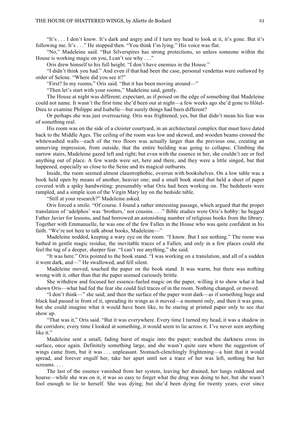"It's . . . I don't know. It's dark and angry and if I turn my head to look at it, it's gone. But it's following me. It's . . ." He stopped then. "You think I'm lying." His voice was flat.

"No," Madeleine said. "But Silverspires has strong protections, so unless someone within the House is working magic on you, I can't see why . . ."

Oris drew himself to his full height. "I don't have enemies in the House."

"I didn't think you had." And even if that had been the case, personal vendettas were outlawed by order of Selene. "Where did you see it?"

"First? In my rooms," Oris said. "But it has been moving around—"

"Then let's start with your rooms," Madeleine said, gently.

The House at night was different; expectant, as if poised on the edge of something that Madeleine could not name. It wasn't the first time she'd been out at night—a few weeks ago she'd gone to Hôtel-Dieu to examine Philippe and Isabelle—but surely things had been different?

Or perhaps she was just overreacting. Oris was frightened, yes, but that didn't mean his fear was of something real.

His room was on the side of a cloister courtyard, in an architectural complex that must have dated back to the Middle Ages. The ceiling of the room was low and skewed, and wooden beams crossed the whitewashed walls—each of the two floors was actually larger than the previous one, creating an unnerving impression, from outside, that the entire building was going to collapse. Climbing the narrow stairs, Madeleine gazed left and right; but even with the essence in her, she couldn't see or feel anything out of place. A few wards were set, here and there, and they were a little singed, but that happened, especially so close to the Seine and its magical outbursts.

Inside, the room seemed almost claustrophobic, overrun with bookshelves. On a low table was a book held open by means of another, heavier one; and a small book stand that held a sheet of paper covered with a spiky handwriting: presumably what Oris had been working on. The bedsheets were rumpled, and a simple icon of the Virgin Mary lay on the bedside table.

"Still at your research?" Madeleine asked.

Oris forced a smile. "Of course. I found a rather interesting passage, which argued that the proper translation of 'adelphos' was 'brothers,' not cousins. . . ." Bible studies were Oris's hobby: he begged Father Javier for lessons, and had borrowed an astonishing number of religious books from the library. Together with Emmanuelle, he was one of the few Fallen in the House who was quite confident in his faith. "We're not here to talk about books, Madeleine—"

Madeleine nodded, keeping a wary eye on the room. "I know. But I see nothing." The room was bathed in gentle magic residue, the inevitable traces of a Fallen; and only in a few places could she feel the tug of a deeper, sharper fear. "I can't see anything," she said.

"It was here." Oris pointed to the book stand. "I was working on a translation, and all of a sudden it went dark, and—" He swallowed, and fell silent.

Madeleine moved, touched the paper on the book stand. It was warm, but there was nothing wrong with it, other than that the paper seemed curiously brittle.

She withdrew and focused her essence-fueled magic on the paper, willing it to show what it had shown Oris—what had fed the fear she could feel traces of in the room. Nothing changed, or moved.

"I don't think—" she said; and then the surface of the paper went dark—as if something huge and black had passed in front of it, spreading its wings as it moved—a moment only, and then it was gone, but she could imagine what it would have been like, to be staring at printed paper only to see *that* show up.

"That was it," Oris said. "But it was everywhere. Every time I turned my head, it was a shadow in the corridors; every time I looked at something, it would seem to lie across it. I've never seen anything like it."

Madeleine sent a small, fading burst of magic into the paper; watched the darkness cross its surface, once again. Definitely something large, and she wasn't quite sure where the suggestion of wings came from, but it was . . . unpleasant. Stomach-clenchingly frightening—a hint that it would spread, and forever engulf her, take her apart until not a trace of her was left, nothing but her screams. . . .

The last of the essence vanished from her system, leaving her drained, her lungs reddened and hoarse—while she was on it, it was so easy to forget what the drug was doing to her, but she wasn't fool enough to lie to herself. She was dying; but she'd been dying for twenty years, ever since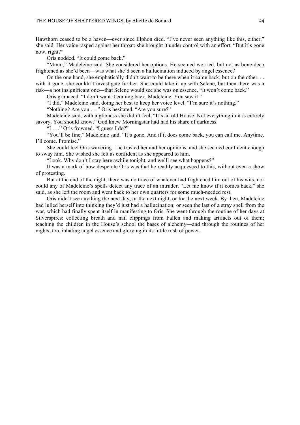Hawthorn ceased to be a haven—ever since Elphon died. "I've never seen anything like this, either," she said. Her voice rasped against her throat; she brought it under control with an effort. "But it's gone now, right?"

Oris nodded. "It could come back."

"Mmm," Madeleine said. She considered her options. He seemed worried, but not as bone-deep frightened as she'd been—was what she'd seen a hallucination induced by angel essence?

On the one hand, she emphatically didn't want to be there when it came back; but on the other. . . with it gone, she couldn't investigate further. She could take it up with Selene, but then there was a risk—a not insignificant one—that Selene would see she was on essence. "It won't come back."

Oris grimaced. "I don't want it coming back, Madeleine. You saw it."

"I did," Madeleine said, doing her best to keep her voice level. "I'm sure it's nothing."

"Nothing? Are you . . ." Oris hesitated. "Are you sure?"

Madeleine said, with a glibness she didn't feel, "It's an old House. Not everything in it is entirely savory. You should know." God knew Morningstar had had his share of darkness.

"I . . ." Oris frowned. "I guess I do?"

"You'll be fine," Madeleine said. "It's gone. And if it does come back, you can call me. Anytime. I'll come. Promise."

She could feel Oris wavering—he trusted her and her opinions, and she seemed confident enough to sway him. She wished she felt as confident as she appeared to him.

"Look. Why don't I stay here awhile tonight, and we'll see what happens?"

It was a mark of how desperate Oris was that he readily acquiesced to this, without even a show of protesting.

But at the end of the night, there was no trace of whatever had frightened him out of his wits, nor could any of Madeleine's spells detect any trace of an intruder. "Let me know if it comes back," she said, as she left the room and went back to her own quarters for some much-needed rest.

Oris didn't see anything the next day, or the next night, or for the next week. By then, Madeleine had lulled herself into thinking they'd just had a hallucination; or seen the last of a stray spell from the war, which had finally spent itself in manifesting to Oris. She went through the routine of her days at Silverspires: collecting breath and nail clippings from Fallen and making artifacts out of them; teaching the children in the House's school the bases of alchemy—and through the routines of her nights, too, inhaling angel essence and glorying in its futile rush of power.